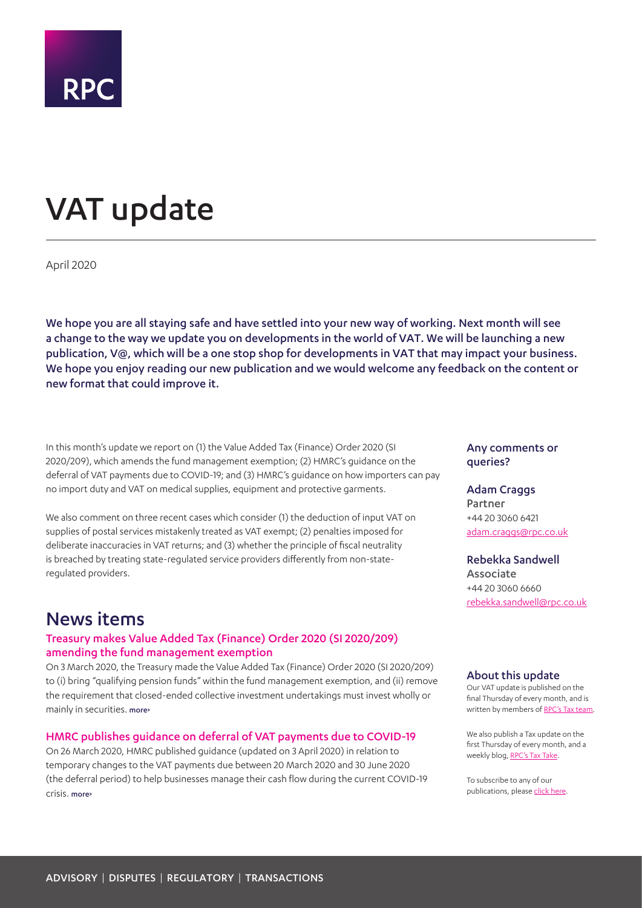

# <span id="page-0-0"></span>VAT update

April 2020

We hope you are all staying safe and have settled into your new way of working. Next month will see a change to the way we update you on developments in the world of VAT. We will be launching a new publication, V@, which will be a one stop shop for developments in VAT that may impact your business. We hope you enjoy reading our new publication and we would welcome any feedback on the content or new format that could improve it.

In this month's update we report on (1) the Value Added Tax (Finance) Order 2020 (SI 2020/209), which amends the fund management exemption; (2) HMRC's guidance on the deferral of VAT payments due to COVID-19; and (3) HMRC's guidance on how importers can pay no import duty and VAT on medical supplies, equipment and protective garments.

We also comment on three recent cases which consider (1) the deduction of input VAT on supplies of postal services mistakenly treated as VAT exempt; (2) penalties imposed for deliberate inaccuracies in VAT returns; and (3) whether the principle of fiscal neutrality is breached by treating state-regulated service providers differently from non-stateregulated providers.

## News items

#### Treasury makes Value Added Tax (Finance) Order 2020 (SI 2020/209) amending the fund management exemption

On 3 March 2020, the Treasury made the Value Added Tax (Finance) Order 2020 (SI 2020/209) to (i) bring "qualifying pension funds" within the fund management exemption, and (ii) remove the requirement that closed-ended collective investment undertakings must invest wholly or mainly in securities. [more>](#page-2-0)

#### HMRC publishes guidance on deferral of VAT payments due to COVID-19

On 26 March 2020, HMRC published guidance (updated on 3 April 2020) in relation to temporary changes to the VAT payments due between 20 March 2020 and 30 June 2020 (the deferral period) to help businesses manage their cash flow during the current COVID-19 crisis. [more>](#page-2-1)

#### Any comments or queries?

### Adam Craggs Partner

+44 20 3060 6421 [adam.craggs@rpc.co.uk](mailto:adam.craggs%40rpc.co.uk?subject=)

#### Rebekka Sandwell

Associate +44 20 3060 6660 [rebekka.sandwell@rpc.co.uk](mailto:rebekka.sandwell%40rpc.co.uk?subject=)

#### About this update

Our VAT update is published on the final Thursday of every month, and is written by members of [RPC's Tax team.](https://www.rpc.co.uk/expertise/disputes-litigation-and-investigations/tax-disputes)

We also publish a Tax update on the first Thursday of every month, and a weekly blog, [RPC's Tax Take](https://www.rpc.co.uk/perspectives/?topic=tax-take).

To subscribe to any of our publications, please [click here](https://sites-rpc.vuturevx.com/5/8/landing-pages/subscribe-london.asp).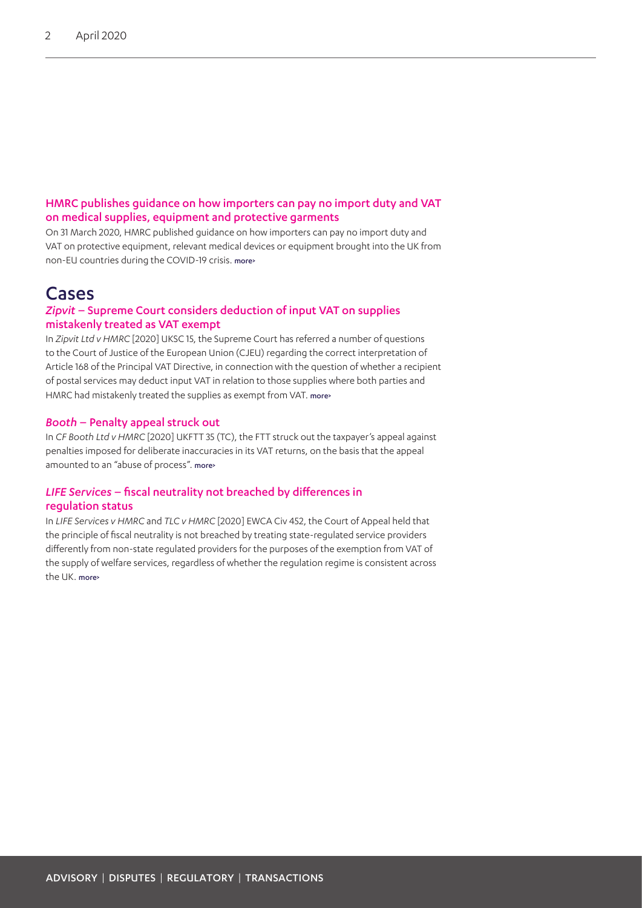#### HMRC publishes guidance on how importers can pay no import duty and VAT on medical supplies, equipment and protective garments

On 31 March 2020, HMRC published guidance on how importers can pay no import duty and VAT on protective equipment, relevant medical devices or equipment brought into the UK from non-EU countries during the COVID-19 crisis. [more>](#page-3-0)

### Cases

#### *Zipvit* – Supreme Court considers deduction of input VAT on supplies mistakenly treated as VAT exempt

In *Zipvit Ltd v HMRC* [2020] UKSC 15, the Supreme Court has referred a number of questions to the Court of Justice of the European Union (CJEU) regarding the correct interpretation of Article 168 of the Principal VAT Directive, in connection with the question of whether a recipient of postal services may deduct input VAT in relation to those supplies where both parties and HMRC had mistakenly treated the supplies as exempt from VAT. [more>](#page-4-0)

#### *Booth* – Penalty appeal struck out

In *CF Booth Ltd v HMRC* [2020] UKFTT 35 (TC), the FTT struck out the taxpayer's appeal against penalties imposed for deliberate inaccuracies in its VAT returns, on the basis that the appeal amounted to an "abuse of process". [more>](#page-6-0)

#### *LIFE Services* – fiscal neutrality not breached by differences in regulation status

In *LIFE Services v HMRC* and *TLC v HMRC* [2020] EWCA Civ 452, the Court of Appeal held that the principle of fiscal neutrality is not breached by treating state-regulated service providers differently from non-state regulated providers for the purposes of the exemption from VAT of the supply of welfare services, regardless of whether the regulation regime is consistent across the UK. more>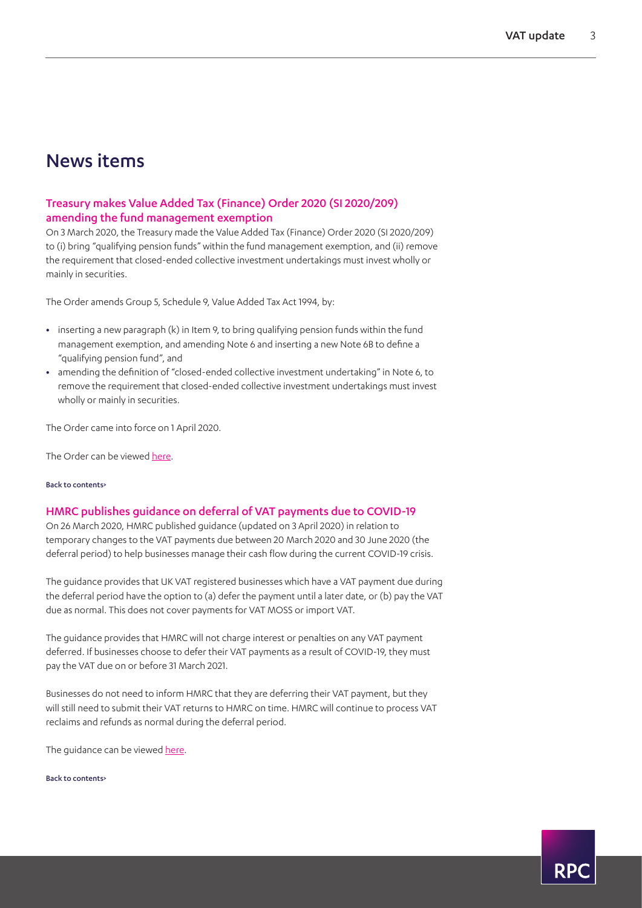## News items

#### <span id="page-2-0"></span>Treasury makes Value Added Tax (Finance) Order 2020 (SI 2020/209) amending the fund management exemption

On 3 March 2020, the Treasury made the Value Added Tax (Finance) Order 2020 (SI 2020/209) to (i) bring "qualifying pension funds" within the fund management exemption, and (ii) remove the requirement that closed-ended collective investment undertakings must invest wholly or mainly in securities.

The Order amends Group 5, Schedule 9, Value Added Tax Act 1994, by:

- **•** inserting a new paragraph (k) in Item 9, to bring qualifying pension funds within the fund management exemption, and amending Note 6 and inserting a new Note 6B to define a "qualifying pension fund", and
- **•** amending the definition of "closed-ended collective investment undertaking" in Note 6, to remove the requirement that closed-ended collective investment undertakings must invest wholly or mainly in securities.

The Order came into force on 1 April 2020.

The Order can be viewed [here.](http://www.legislation.gov.uk/uksi/2020/209/made)

#### [Back to contents>](#page-0-0)

#### <span id="page-2-1"></span>HMRC publishes guidance on deferral of VAT payments due to COVID-19

On 26 March 2020, HMRC published guidance (updated on 3 April 2020) in relation to temporary changes to the VAT payments due between 20 March 2020 and 30 June 2020 (the deferral period) to help businesses manage their cash flow during the current COVID-19 crisis.

The guidance provides that UK VAT registered businesses which have a VAT payment due during the deferral period have the option to (a) defer the payment until a later date, or (b) pay the VAT due as normal. This does not cover payments for VAT MOSS or import VAT.

The guidance provides that HMRC will not charge interest or penalties on any VAT payment deferred. If businesses choose to defer their VAT payments as a result of COVID-19, they must pay the VAT due on or before 31 March 2021.

Businesses do not need to inform HMRC that they are deferring their VAT payment, but they will still need to submit their VAT returns to HMRC on time. HMRC will continue to process VAT reclaims and refunds as normal during the deferral period.

The guidance can be viewed [here.](https://www.gov.uk/guidance/deferral-of-vat-payments-due-to-coronavirus-covid-19#history)

[Back to contents>](#page-0-0)

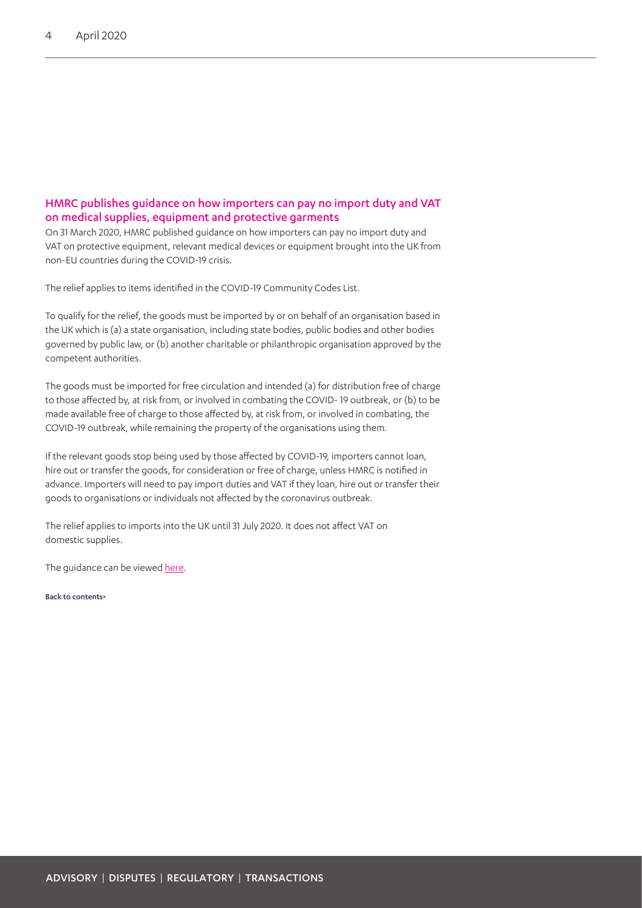#### <span id="page-3-0"></span>HMRC publishes guidance on how importers can pay no import duty and VAT on medical supplies, equipment and protective garments

On 31 March 2020, HMRC published guidance on how importers can pay no import duty and VAT on protective equipment, relevant medical devices or equipment brought into the UK from non-EU countries during the COVID-19 crisis.

The relief applies to items identified in the COVID-19 Community Codes List.

To qualify for the relief, the goods must be imported by or on behalf of an organisation based in the UK which is (a) a state organisation, including state bodies, public bodies and other bodies governed by public law, or (b) another charitable or philanthropic organisation approved by the competent authorities.

The goods must be imported for free circulation and intended (a) for distribution free of charge to those affected by, at risk from, or involved in combating the COVID- 19 outbreak, or (b) to be made available free of charge to those affected by, at risk from, or involved in combating, the COVID-19 outbreak, while remaining the property of the organisations using them.

If the relevant goods stop being used by those affected by COVID-19, importers cannot loan, hire out or transfer the goods, for consideration or free of charge, unless HMRC is notified in advance. Importers will need to pay import duties and VAT if they loan, hire out or transfer their goods to organisations or individuals not affected by the coronavirus outbreak.

The relief applies to imports into the UK until 31 July 2020. It does not affect VAT on domestic supplies.

The guidance can be viewed [here](https://www.gov.uk/guidance/pay-no-import-duty-and-vat-on-medical-supplies-equipment-and-protective-garments-covid-19?utm_source=5c5c6b6b-19d1-4bbd-8b31-818af744dc19&utm_medium=email&utm_campaign=govuk-notifications&utm_content=daily).

[Back to contents>](#page-0-0)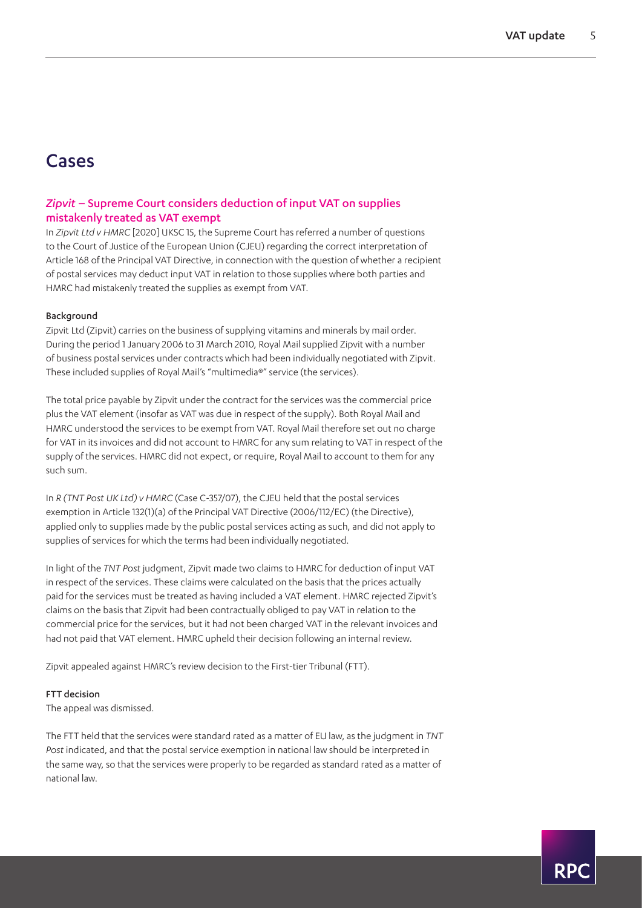### Cases

#### <span id="page-4-0"></span>*Zipvit* – Supreme Court considers deduction of input VAT on supplies mistakenly treated as VAT exempt

In *Zipvit Ltd v HMRC* [2020] UKSC 15, the Supreme Court has referred a number of questions to the Court of Justice of the European Union (CJEU) regarding the correct interpretation of Article 168 of the Principal VAT Directive, in connection with the question of whether a recipient of postal services may deduct input VAT in relation to those supplies where both parties and HMRC had mistakenly treated the supplies as exempt from VAT.

#### Background

Zipvit Ltd (Zipvit) carries on the business of supplying vitamins and minerals by mail order. During the period 1 January 2006 to 31 March 2010, Royal Mail supplied Zipvit with a number of business postal services under contracts which had been individually negotiated with Zipvit. These included supplies of Royal Mail's "multimedia®" service (the services).

The total price payable by Zipvit under the contract for the services was the commercial price plus the VAT element (insofar as VAT was due in respect of the supply). Both Royal Mail and HMRC understood the services to be exempt from VAT. Royal Mail therefore set out no charge for VAT in its invoices and did not account to HMRC for any sum relating to VAT in respect of the supply of the services. HMRC did not expect, or require, Royal Mail to account to them for any such sum.

In *R (TNT Post UK Ltd) v HMRC* (Case C-357/07), the CJEU held that the postal services exemption in Article 132(1)(a) of the Principal VAT Directive (2006/112/EC) (the Directive), applied only to supplies made by the public postal services acting as such, and did not apply to supplies of services for which the terms had been individually negotiated.

In light of the *TNT Post* judgment, Zipvit made two claims to HMRC for deduction of input VAT in respect of the services. These claims were calculated on the basis that the prices actually paid for the services must be treated as having included a VAT element. HMRC rejected Zipvit's claims on the basis that Zipvit had been contractually obliged to pay VAT in relation to the commercial price for the services, but it had not been charged VAT in the relevant invoices and had not paid that VAT element. HMRC upheld their decision following an internal review.

Zipvit appealed against HMRC's review decision to the First-tier Tribunal (FTT).

#### FTT decision

The appeal was dismissed.

The FTT held that the services were standard rated as a matter of EU law, as the judgment in *TNT Post* indicated, and that the postal service exemption in national law should be interpreted in the same way, so that the services were properly to be regarded as standard rated as a matter of national law.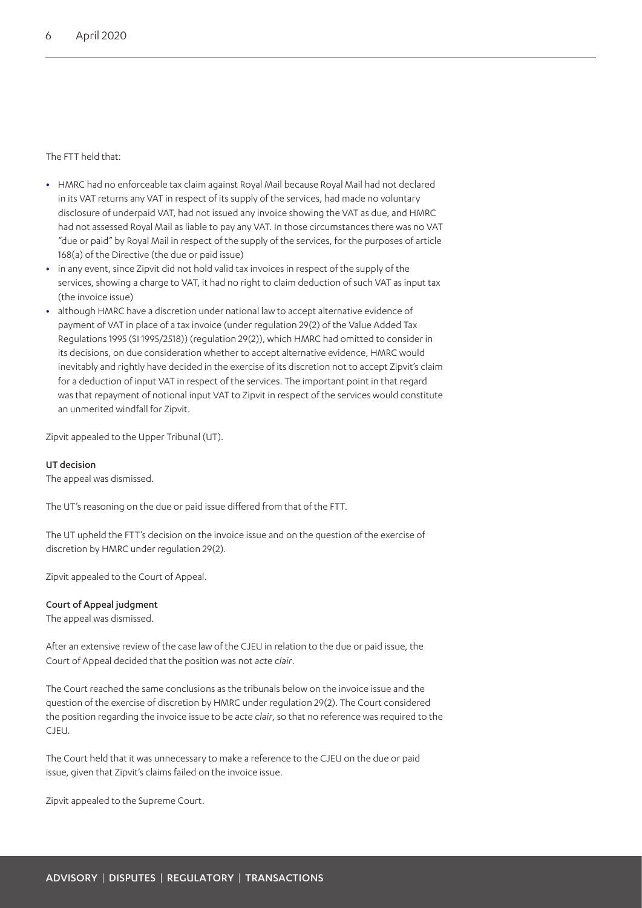#### The FTT held that:

- **•** HMRC had no enforceable tax claim against Royal Mail because Royal Mail had not declared in its VAT returns any VAT in respect of its supply of the services, had made no voluntary disclosure of underpaid VAT, had not issued any invoice showing the VAT as due, and HMRC had not assessed Royal Mail as liable to pay any VAT. In those circumstances there was no VAT "due or paid" by Royal Mail in respect of the supply of the services, for the purposes of article 168(a) of the Directive (the due or paid issue)
- **•** in any event, since Zipvit did not hold valid tax invoices in respect of the supply of the services, showing a charge to VAT, it had no right to claim deduction of such VAT as input tax (the invoice issue)
- **•** although HMRC have a discretion under national law to accept alternative evidence of payment of VAT in place of a tax invoice (under regulation 29(2) of the Value Added Tax Regulations 1995 (SI 1995/2518)) (regulation 29(2)), which HMRC had omitted to consider in its decisions, on due consideration whether to accept alternative evidence, HMRC would inevitably and rightly have decided in the exercise of its discretion not to accept Zipvit's claim for a deduction of input VAT in respect of the services. The important point in that regard was that repayment of notional input VAT to Zipvit in respect of the services would constitute an unmerited windfall for Zipvit.

Zipvit appealed to the Upper Tribunal (UT).

#### UT decision

The appeal was dismissed.

The UT's reasoning on the due or paid issue differed from that of the FTT.

The UT upheld the FTT's decision on the invoice issue and on the question of the exercise of discretion by HMRC under regulation 29(2).

Zipvit appealed to the Court of Appeal.

#### Court of Appeal judgment

The appeal was dismissed.

After an extensive review of the case law of the CJEU in relation to the due or paid issue, the Court of Appeal decided that the position was not *acte clair*.

The Court reached the same conclusions as the tribunals below on the invoice issue and the question of the exercise of discretion by HMRC under regulation 29(2). The Court considered the position regarding the invoice issue to be *acte clair*, so that no reference was required to the CJEU.

The Court held that it was unnecessary to make a reference to the CJEU on the due or paid issue, given that Zipvit's claims failed on the invoice issue.

Zipvit appealed to the Supreme Court.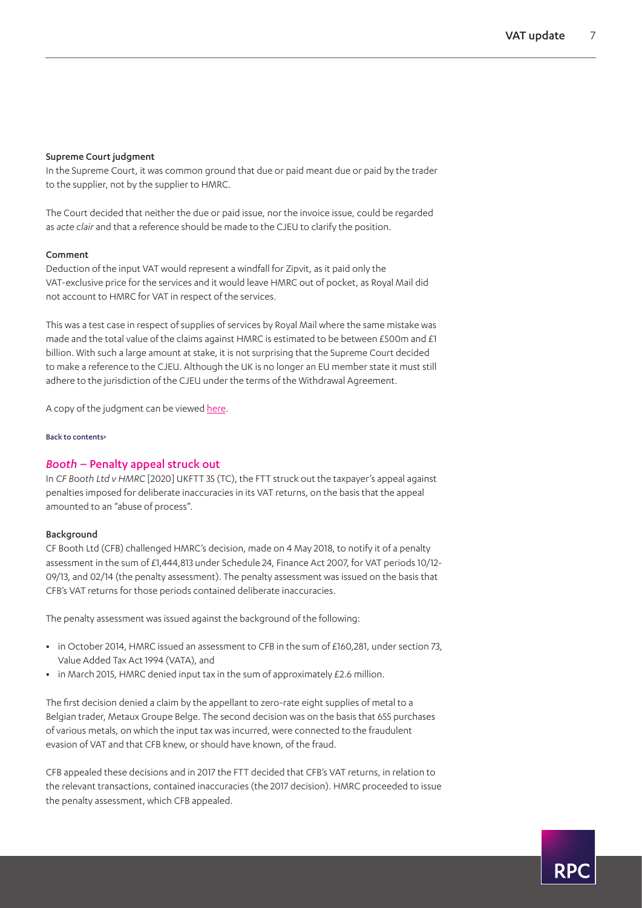#### Supreme Court judgment

In the Supreme Court, it was common ground that due or paid meant due or paid by the trader to the supplier, not by the supplier to HMRC.

The Court decided that neither the due or paid issue, nor the invoice issue, could be regarded as *acte clair* and that a reference should be made to the CJEU to clarify the position.

#### Comment

Deduction of the input VAT would represent a windfall for Zipvit, as it paid only the VAT-exclusive price for the services and it would leave HMRC out of pocket, as Royal Mail did not account to HMRC for VAT in respect of the services.

This was a test case in respect of supplies of services by Royal Mail where the same mistake was made and the total value of the claims against HMRC is estimated to be between £500m and £1 billion. With such a large amount at stake, it is not surprising that the Supreme Court decided to make a reference to the CJEU. Although the UK is no longer an EU member state it must still adhere to the jurisdiction of the CJEU under the terms of the Withdrawal Agreement.

A copy of the judgment can be viewed [here.](https://www.bailii.org/uk/cases/UKSC/2020/15.pdf)

#### [Back to contents>](#page-0-0)

#### <span id="page-6-0"></span>*Booth* – Penalty appeal struck out

In *CF Booth Ltd v HMRC* [2020] UKFTT 35 (TC), the FTT struck out the taxpayer's appeal against penalties imposed for deliberate inaccuracies in its VAT returns, on the basis that the appeal amounted to an "abuse of process".

#### Background

CF Booth Ltd (CFB) challenged HMRC's decision, made on 4 May 2018, to notify it of a penalty assessment in the sum of £1,444,813 under Schedule 24, Finance Act 2007, for VAT periods 10/12- 09/13, and 02/14 (the penalty assessment). The penalty assessment was issued on the basis that CFB's VAT returns for those periods contained deliberate inaccuracies.

The penalty assessment was issued against the background of the following:

- **•** in October 2014, HMRC issued an assessment to CFB in the sum of £160,281, under section 73, Value Added Tax Act 1994 (VATA), and
- **•** in March 2015, HMRC denied input tax in the sum of approximately £2.6 million.

The first decision denied a claim by the appellant to zero-rate eight supplies of metal to a Belgian trader, Metaux Groupe Belge. The second decision was on the basis that 655 purchases of various metals, on which the input tax was incurred, were connected to the fraudulent evasion of VAT and that CFB knew, or should have known, of the fraud.

CFB appealed these decisions and in 2017 the FTT decided that CFB's VAT returns, in relation to the relevant transactions, contained inaccuracies (the 2017 decision). HMRC proceeded to issue the penalty assessment, which CFB appealed.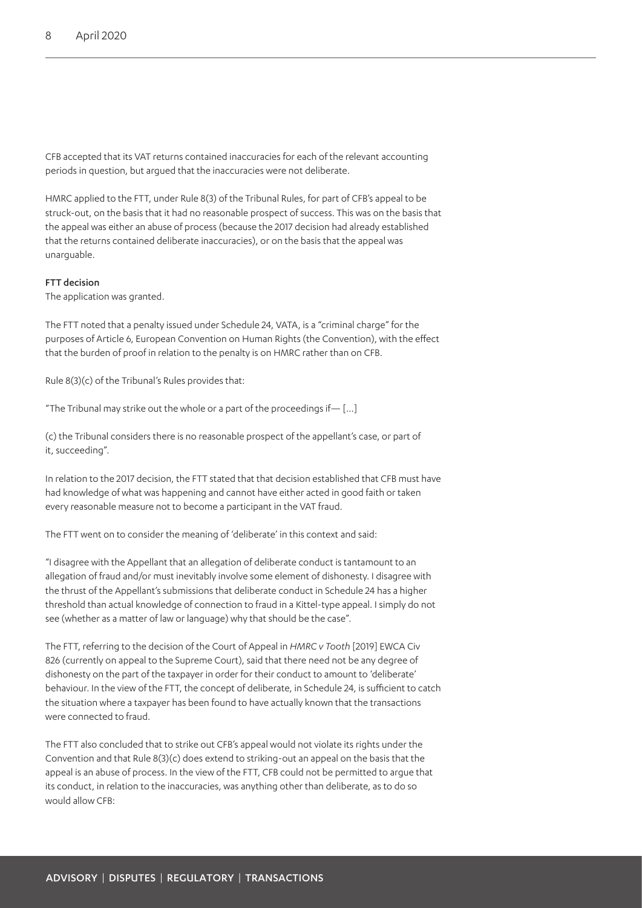CFB accepted that its VAT returns contained inaccuracies for each of the relevant accounting periods in question, but argued that the inaccuracies were not deliberate.

HMRC applied to the FTT, under Rule 8(3) of the Tribunal Rules, for part of CFB's appeal to be struck-out, on the basis that it had no reasonable prospect of success. This was on the basis that the appeal was either an abuse of process (because the 2017 decision had already established that the returns contained deliberate inaccuracies), or on the basis that the appeal was unarguable.

#### FTT decision

The application was granted.

The FTT noted that a penalty issued under Schedule 24, VATA, is a "criminal charge" for the purposes of Article 6, European Convention on Human Rights (the Convention), with the effect that the burden of proof in relation to the penalty is on HMRC rather than on CFB.

Rule 8(3)(c) of the Tribunal's Rules provides that:

"The Tribunal may strike out the whole or a part of the proceedings if $-$  [...]

(c) the Tribunal considers there is no reasonable prospect of the appellant's case, or part of it, succeeding".

In relation to the 2017 decision, the FTT stated that that decision established that CFB must have had knowledge of what was happening and cannot have either acted in good faith or taken every reasonable measure not to become a participant in the VAT fraud.

The FTT went on to consider the meaning of 'deliberate' in this context and said:

"I disagree with the Appellant that an allegation of deliberate conduct is tantamount to an allegation of fraud and/or must inevitably involve some element of dishonesty. I disagree with the thrust of the Appellant's submissions that deliberate conduct in Schedule 24 has a higher threshold than actual knowledge of connection to fraud in a Kittel-type appeal. I simply do not see (whether as a matter of law or language) why that should be the case".

The FTT, referring to the decision of the Court of Appeal in *HMRC v Tooth* [2019] EWCA Civ 826 (currently on appeal to the Supreme Court), said that there need not be any degree of dishonesty on the part of the taxpayer in order for their conduct to amount to 'deliberate' behaviour. In the view of the FTT, the concept of deliberate, in Schedule 24, is sufficient to catch the situation where a taxpayer has been found to have actually known that the transactions were connected to fraud.

The FTT also concluded that to strike out CFB's appeal would not violate its rights under the Convention and that Rule 8(3)(c) does extend to striking-out an appeal on the basis that the appeal is an abuse of process. In the view of the FTT, CFB could not be permitted to argue that its conduct, in relation to the inaccuracies, was anything other than deliberate, as to do so would allow CFB: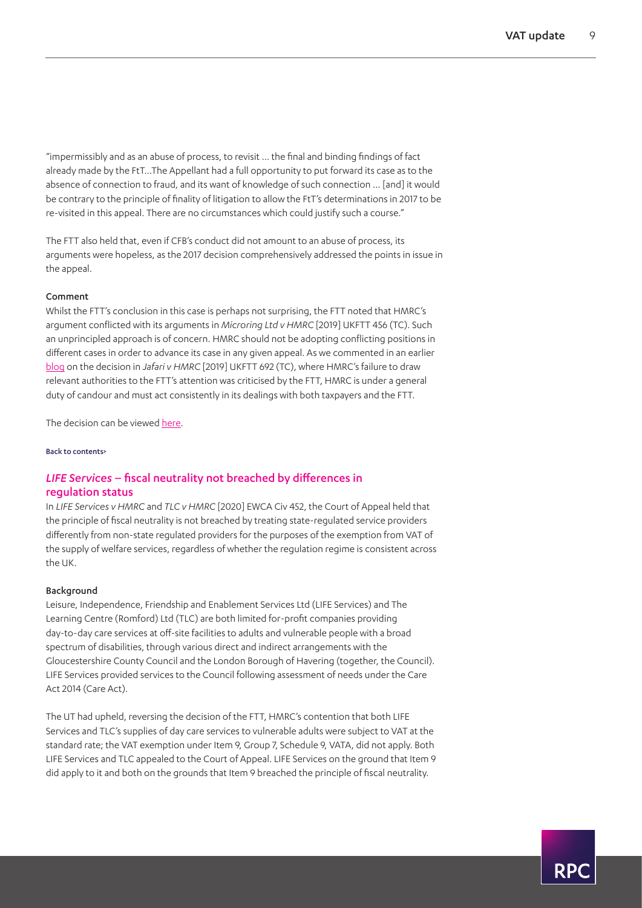R P (

"impermissibly and as an abuse of process, to revisit … the final and binding findings of fact already made by the FtT…The Appellant had a full opportunity to put forward its case as to the absence of connection to fraud, and its want of knowledge of such connection … [and] it would be contrary to the principle of finality of litigation to allow the FtT's determinations in 2017 to be re-visited in this appeal. There are no circumstances which could justify such a course."

The FTT also held that, even if CFB's conduct did not amount to an abuse of process, its arguments were hopeless, as the 2017 decision comprehensively addressed the points in issue in the appeal.

#### Comment

Whilst the FTT's conclusion in this case is perhaps not surprising, the FTT noted that HMRC's argument conflicted with its arguments in *Microring Ltd v HMRC* [2019] UKFTT 456 (TC). Such an unprincipled approach is of concern. HMRC should not be adopting conflicting positions in different cases in order to advance its case in any given appeal. As we commented in an earlier [blog](https://www.rpc.co.uk/perspectives/tax-take/jafari-hmrc-criticised-for-breach-of-its-duty-to-assist-the-tribunal/) on the decision in *Jafari v HMRC* [2019] UKFTT 692 (TC), where HMRC's failure to draw relevant authorities to the FTT's attention was criticised by the FTT, HMRC is under a general duty of candour and must act consistently in its dealings with both taxpayers and the FTT.

The decision can be viewed [here.](https://www.bailii.org/uk/cases/UKFTT/TC/2020/TC07541.pdf)

[Back to contents>](#page-0-0)

### *LIFE Services* – fiscal neutrality not breached by differences in regulation status

In *LIFE Services v HMRC* and *TLC v HMRC* [2020] EWCA Civ 452, the Court of Appeal held that the principle of fiscal neutrality is not breached by treating state-regulated service providers differently from non-state regulated providers for the purposes of the exemption from VAT of the supply of welfare services, regardless of whether the regulation regime is consistent across the UK.

#### Background

Leisure, Independence, Friendship and Enablement Services Ltd (LIFE Services) and The Learning Centre (Romford) Ltd (TLC) are both limited for-profit companies providing day-to-day care services at off-site facilities to adults and vulnerable people with a broad spectrum of disabilities, through various direct and indirect arrangements with the Gloucestershire County Council and the London Borough of Havering (together, the Council). LIFE Services provided services to the Council following assessment of needs under the Care Act 2014 (Care Act).

The UT had upheld, reversing the decision of the FTT, HMRC's contention that both LIFE Services and TLC's supplies of day care services to vulnerable adults were subject to VAT at the standard rate; the VAT exemption under Item 9, Group 7, Schedule 9, VATA, did not apply. Both LIFE Services and TLC appealed to the Court of Appeal. LIFE Services on the ground that Item 9 did apply to it and both on the grounds that Item 9 breached the principle of fiscal neutrality.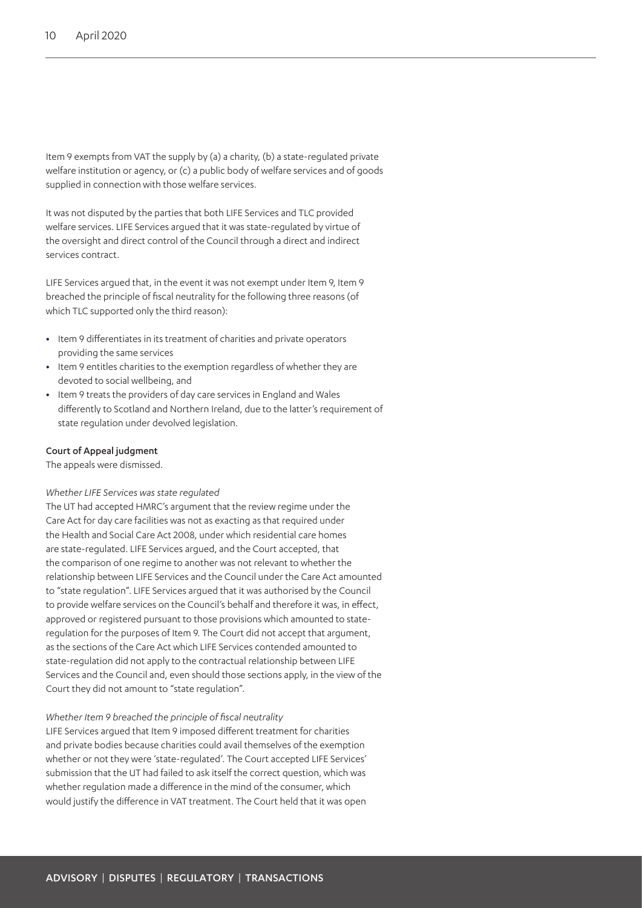Item 9 exempts from VAT the supply by (a) a charity, (b) a state-regulated private welfare institution or agency, or (c) a public body of welfare services and of goods supplied in connection with those welfare services.

It was not disputed by the parties that both LIFE Services and TLC provided welfare services. LIFE Services argued that it was state-regulated by virtue of the oversight and direct control of the Council through a direct and indirect services contract.

LIFE Services argued that, in the event it was not exempt under Item 9, Item 9 breached the principle of fiscal neutrality for the following three reasons (of which TLC supported only the third reason):

- **•** Item 9 differentiates in its treatment of charities and private operators providing the same services
- **•** Item 9 entitles charities to the exemption regardless of whether they are devoted to social wellbeing, and
- **•** Item 9 treats the providers of day care services in England and Wales differently to Scotland and Northern Ireland, due to the latter's requirement of state regulation under devolved legislation.

#### Court of Appeal judgment

The appeals were dismissed.

#### *Whether LIFE Services was state regulated*

The UT had accepted HMRC's argument that the review regime under the Care Act for day care facilities was not as exacting as that required under the Health and Social Care Act 2008, under which residential care homes are state-regulated. LIFE Services argued, and the Court accepted, that the comparison of one regime to another was not relevant to whether the relationship between LIFE Services and the Council under the Care Act amounted to "state regulation". LIFE Services argued that it was authorised by the Council to provide welfare services on the Council's behalf and therefore it was, in effect, approved or registered pursuant to those provisions which amounted to stateregulation for the purposes of Item 9. The Court did not accept that argument, as the sections of the Care Act which LIFE Services contended amounted to state-regulation did not apply to the contractual relationship between LIFE Services and the Council and, even should those sections apply, in the view of the Court they did not amount to "state regulation".

#### *Whether Item 9 breached the principle of fiscal neutrality*

LIFE Services argued that Item 9 imposed different treatment for charities and private bodies because charities could avail themselves of the exemption whether or not they were 'state-regulated'. The Court accepted LIFE Services' submission that the UT had failed to ask itself the correct question, which was whether regulation made a difference in the mind of the consumer, which would justify the difference in VAT treatment. The Court held that it was open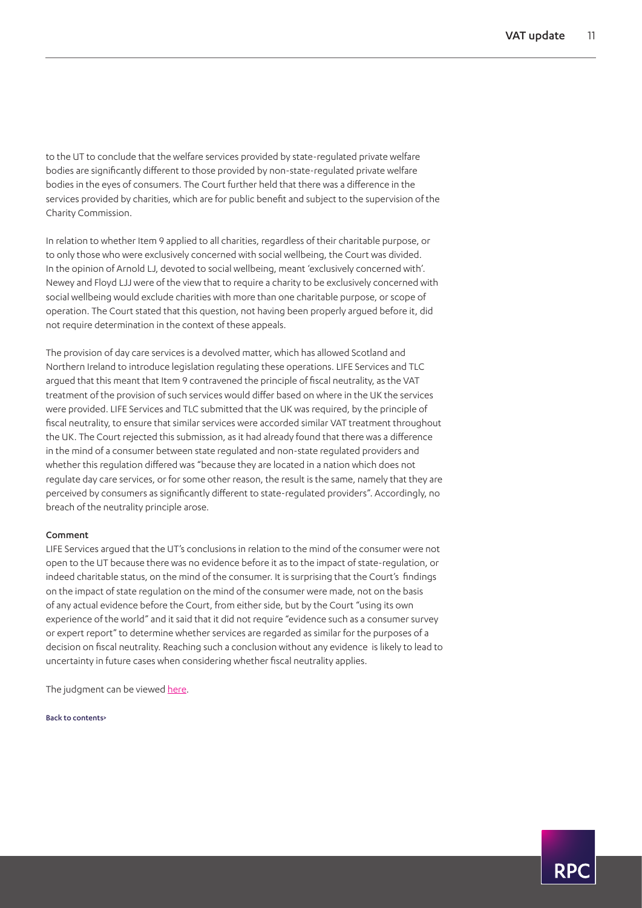to the UT to conclude that the welfare services provided by state-regulated private welfare bodies are significantly different to those provided by non-state-regulated private welfare bodies in the eyes of consumers. The Court further held that there was a difference in the services provided by charities, which are for public benefit and subject to the supervision of the Charity Commission.

In relation to whether Item 9 applied to all charities, regardless of their charitable purpose, or to only those who were exclusively concerned with social wellbeing, the Court was divided. In the opinion of Arnold LJ, devoted to social wellbeing, meant 'exclusively concerned with'. Newey and Floyd LJJ were of the view that to require a charity to be exclusively concerned with social wellbeing would exclude charities with more than one charitable purpose, or scope of operation. The Court stated that this question, not having been properly argued before it, did not require determination in the context of these appeals.

The provision of day care services is a devolved matter, which has allowed Scotland and Northern Ireland to introduce legislation regulating these operations. LIFE Services and TLC argued that this meant that Item 9 contravened the principle of fiscal neutrality, as the VAT treatment of the provision of such services would differ based on where in the UK the services were provided. LIFE Services and TLC submitted that the UK was required, by the principle of fiscal neutrality, to ensure that similar services were accorded similar VAT treatment throughout the UK. The Court rejected this submission, as it had already found that there was a difference in the mind of a consumer between state regulated and non-state regulated providers and whether this regulation differed was "because they are located in a nation which does not regulate day care services, or for some other reason, the result is the same, namely that they are perceived by consumers as significantly different to state-regulated providers". Accordingly, no breach of the neutrality principle arose.

#### Comment

LIFE Services argued that the UT's conclusions in relation to the mind of the consumer were not open to the UT because there was no evidence before it as to the impact of state-regulation, or indeed charitable status, on the mind of the consumer. It is surprising that the Court's findings on the impact of state regulation on the mind of the consumer were made, not on the basis of any actual evidence before the Court, from either side, but by the Court "using its own experience of the world" and it said that it did not require "evidence such as a consumer survey or expert report" to determine whether services are regarded as similar for the purposes of a decision on fiscal neutrality. Reaching such a conclusion without any evidence is likely to lead to uncertainty in future cases when considering whether fiscal neutrality applies.

The judgment can be viewed [here.](https://www.bailii.org/ew/cases/EWCA/Civ/2020/452.pdf)

[Back to contents>](#page-0-0)